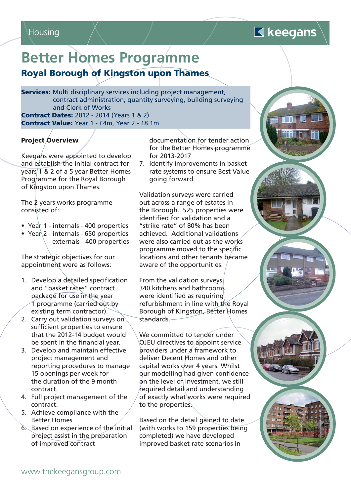### Housing

## $\blacksquare$  keegans

# **Better Homes Programme**

**Royal Borough of Kingston upon Thames**

**Services:** Multi disciplinary services including project management, contract administration, quantity surveying, building surveying and Clerk of Works **Contract Dates:** 2012 - 2014 (Years 1 & 2) **Contract Value:** Year 1 - £4m, Year 2 - £8.1m

#### **Project Overview**

Keegans were appointed to develop and establish the initial contract for years 1 & 2 of a 5 year Better Homes Programme for the Royal Borough of Kingston upon Thames.

The 2 years works programme consisted of:

- Year 1 internals 400 properties
- Year $\sqrt{2}$  internals 650 properties - externals - 400 properties

The strategic objectives for our appointment were as follows:

- 1. Develop a detailed specification and "basket rates" contract package for use in the year 1 programme (carried out by existing term contractor).
- 2. Carry out validation surveys on sufficient properties to ensure that the 2012-14 budget would be spent in the financial year.
- 3. Develop and maintain effective project management and reporting procedures to manage 15 openings per week for the duration of the 9 month contract.
- 4. Full project management of the contract.
- 5. Achieve compliance with the Better Homes
- 6. Based on experience of the initial project assist in the preparation of improved contract

documentation for tender action for the Better Homes programme for 2013-2017

7. Identify improvements in basket rate systems to ensure Best Value going forward

Validation surveys were carried out across a range of estates in the Borough. 525 properties were identified for validation and a "strike rate" of 80% has been achieved. Additional validations were also carried out as the works programme moved to the specific locations and other tenants became aware of the opportunities.

From the validation surveys 340 kitchens and bathrooms were identified as requiring refurbishment in line with the Royal Borough of Kingston, Better Homes standards.

We committed to tender under OJEU directives to appoint service providers under a framework to deliver Decent Homes and other capital works over 4 years. Whilst our modelling had given confidence on the level of investment, we still required detail and understanding of exactly what works were required to the properties.

Based on the detail gained to date (with works to 159 properties being completed) we have developed improved basket rate scenarios in